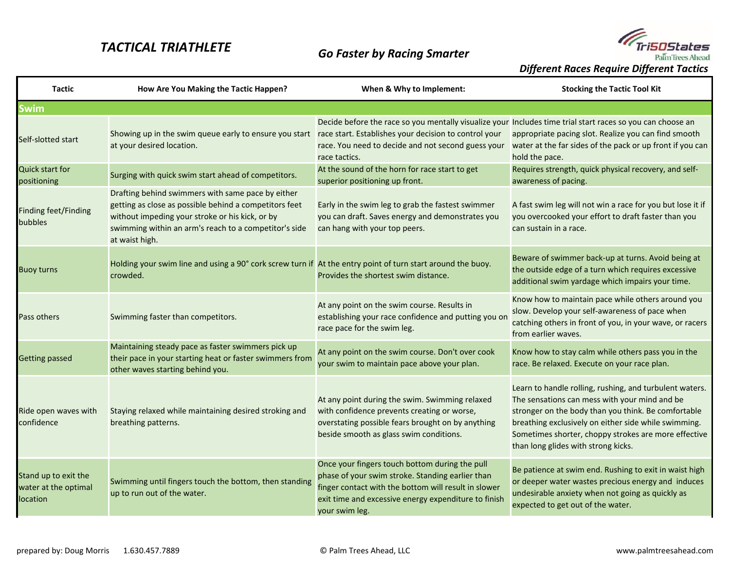## *TACTICAL TRIATHLETE*



*Different Races Require Different Tactics*

| <b>Tactic</b>                                            | How Are You Making the Tactic Happen?                                                                                                                                                                                                     | When & Why to Implement:                                                                                                                                                                                                             | <b>Stocking the Tactic Tool Kit</b>                                                                                                                                                                                                                                                                                    |
|----------------------------------------------------------|-------------------------------------------------------------------------------------------------------------------------------------------------------------------------------------------------------------------------------------------|--------------------------------------------------------------------------------------------------------------------------------------------------------------------------------------------------------------------------------------|------------------------------------------------------------------------------------------------------------------------------------------------------------------------------------------------------------------------------------------------------------------------------------------------------------------------|
| <b>Swim</b>                                              |                                                                                                                                                                                                                                           |                                                                                                                                                                                                                                      |                                                                                                                                                                                                                                                                                                                        |
| Self-slotted start                                       | Showing up in the swim queue early to ensure you start race start. Establishes your decision to control your<br>at your desired location.                                                                                                 | Decide before the race so you mentally visualize your Includes time trial start races so you can choose an<br>race tactics.                                                                                                          | appropriate pacing slot. Realize you can find smooth<br>race. You need to decide and not second guess your water at the far sides of the pack or up front if you can<br>hold the pace.                                                                                                                                 |
| <b>Quick start for</b><br>positioning                    | Surging with quick swim start ahead of competitors.                                                                                                                                                                                       | At the sound of the horn for race start to get<br>superior positioning up front.                                                                                                                                                     | Requires strength, quick physical recovery, and self-<br>awareness of pacing.                                                                                                                                                                                                                                          |
| <b>Finding feet/Finding</b><br>bubbles                   | Drafting behind swimmers with same pace by either<br>getting as close as possible behind a competitors feet<br>without impeding your stroke or his kick, or by<br>swimming within an arm's reach to a competitor's side<br>at waist high. | Early in the swim leg to grab the fastest swimmer<br>you can draft. Saves energy and demonstrates you<br>can hang with your top peers.                                                                                               | A fast swim leg will not win a race for you but lose it if<br>you overcooked your effort to draft faster than you<br>can sustain in a race.                                                                                                                                                                            |
| <b>Buoy turns</b>                                        | Holding your swim line and using a 90° cork screw turn if At the entry point of turn start around the buoy.<br>crowded.                                                                                                                   | Provides the shortest swim distance.                                                                                                                                                                                                 | Beware of swimmer back-up at turns. Avoid being at<br>the outside edge of a turn which requires excessive<br>additional swim yardage which impairs your time.                                                                                                                                                          |
| Pass others                                              | Swimming faster than competitors.                                                                                                                                                                                                         | At any point on the swim course. Results in<br>establishing your race confidence and putting you on<br>race pace for the swim leg.                                                                                                   | Know how to maintain pace while others around you<br>slow. Develop your self-awareness of pace when<br>catching others in front of you, in your wave, or racers<br>from earlier waves.                                                                                                                                 |
| <b>Getting passed</b>                                    | Maintaining steady pace as faster swimmers pick up<br>their pace in your starting heat or faster swimmers from<br>other waves starting behind you.                                                                                        | At any point on the swim course. Don't over cook<br>your swim to maintain pace above your plan.                                                                                                                                      | Know how to stay calm while others pass you in the<br>race. Be relaxed. Execute on your race plan.                                                                                                                                                                                                                     |
| Ride open waves with<br>confidence                       | Staying relaxed while maintaining desired stroking and<br>breathing patterns.                                                                                                                                                             | At any point during the swim. Swimming relaxed<br>with confidence prevents creating or worse,<br>overstating possible fears brought on by anything<br>beside smooth as glass swim conditions.                                        | Learn to handle rolling, rushing, and turbulent waters.<br>The sensations can mess with your mind and be<br>stronger on the body than you think. Be comfortable<br>breathing exclusively on either side while swimming.<br>Sometimes shorter, choppy strokes are more effective<br>than long glides with strong kicks. |
| Stand up to exit the<br>water at the optimal<br>location | Swimming until fingers touch the bottom, then standing<br>up to run out of the water.                                                                                                                                                     | Once your fingers touch bottom during the pull<br>phase of your swim stroke. Standing earlier than<br>finger contact with the bottom will result in slower<br>exit time and excessive energy expenditure to finish<br>your swim leg. | Be patience at swim end. Rushing to exit in waist high<br>or deeper water wastes precious energy and induces<br>undesirable anxiety when not going as quickly as<br>expected to get out of the water.                                                                                                                  |